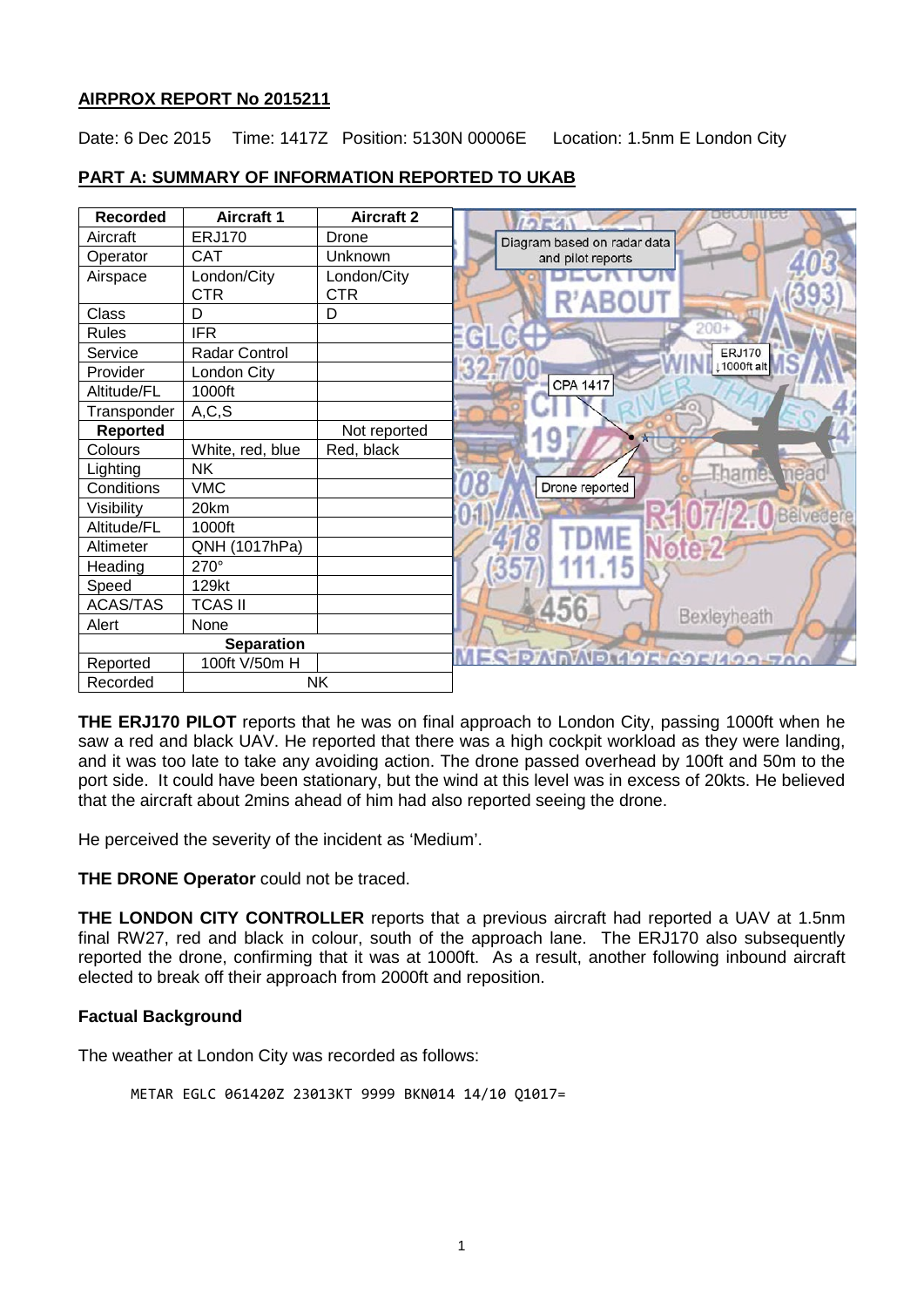## **AIRPROX REPORT No 2015211**

Date: 6 Dec 2015 Time: 1417Z Position: 5130N 00006E Location: 1.5nm E London City

# **PART A: SUMMARY OF INFORMATION REPORTED TO UKAB**

| <b>Recorded</b>   | <b>Aircraft 1</b> | <b>Aircraft 2</b> |                             |
|-------------------|-------------------|-------------------|-----------------------------|
| Aircraft          | <b>ERJ170</b>     | Drone             | Diagram based on radar data |
| Operator          | <b>CAT</b>        | Unknown           | and pilot reports           |
| Airspace          | London/City       | London/City       |                             |
|                   | <b>CTR</b>        | <b>CTR</b>        |                             |
| Class             | D                 | D                 |                             |
| <b>Rules</b>      | <b>IFR</b>        |                   | $200+$                      |
| Service           | Radar Control     |                   | <b>ERJ170</b>               |
| Provider          | London City       |                   | 1000ft alt                  |
| Altitude/FL       | 1000ft            |                   | <b>CPA 1417</b>             |
| Transponder       | A, C, S           |                   |                             |
| <b>Reported</b>   |                   | Not reported      |                             |
| Colours           | White, red, blue  | Red, black        |                             |
| Lighting          | <b>NK</b>         |                   | <b>Hham</b><br>mea          |
| Conditions        | <b>VMC</b>        |                   | Drone reported              |
| Visibility        | 20km              |                   | Bêlvedere                   |
| Altitude/FL       | 1000ft            |                   |                             |
| Altimeter         | QNH (1017hPa)     |                   |                             |
| Heading           | 270°              |                   |                             |
| Speed             | 129kt             |                   |                             |
| ACAS/TAS          | <b>TCAS II</b>    |                   |                             |
| Alert             | None              |                   | Bexleyheath                 |
| <b>Separation</b> |                   |                   |                             |
| Reported          | 100ft V/50m H     |                   |                             |
| Recorded          | <b>NK</b>         |                   |                             |

**THE ERJ170 PILOT** reports that he was on final approach to London City, passing 1000ft when he saw a red and black UAV. He reported that there was a high cockpit workload as they were landing, and it was too late to take any avoiding action. The drone passed overhead by 100ft and 50m to the port side. It could have been stationary, but the wind at this level was in excess of 20kts. He believed that the aircraft about 2mins ahead of him had also reported seeing the drone.

He perceived the severity of the incident as 'Medium'.

**THE DRONE Operator** could not be traced.

**THE LONDON CITY CONTROLLER** reports that a previous aircraft had reported a UAV at 1.5nm final RW27, red and black in colour, south of the approach lane. The ERJ170 also subsequently reported the drone, confirming that it was at 1000ft. As a result, another following inbound aircraft elected to break off their approach from 2000ft and reposition.

## **Factual Background**

The weather at London City was recorded as follows:

METAR EGLC 061420Z 23013KT 9999 BKN014 14/10 Q1017=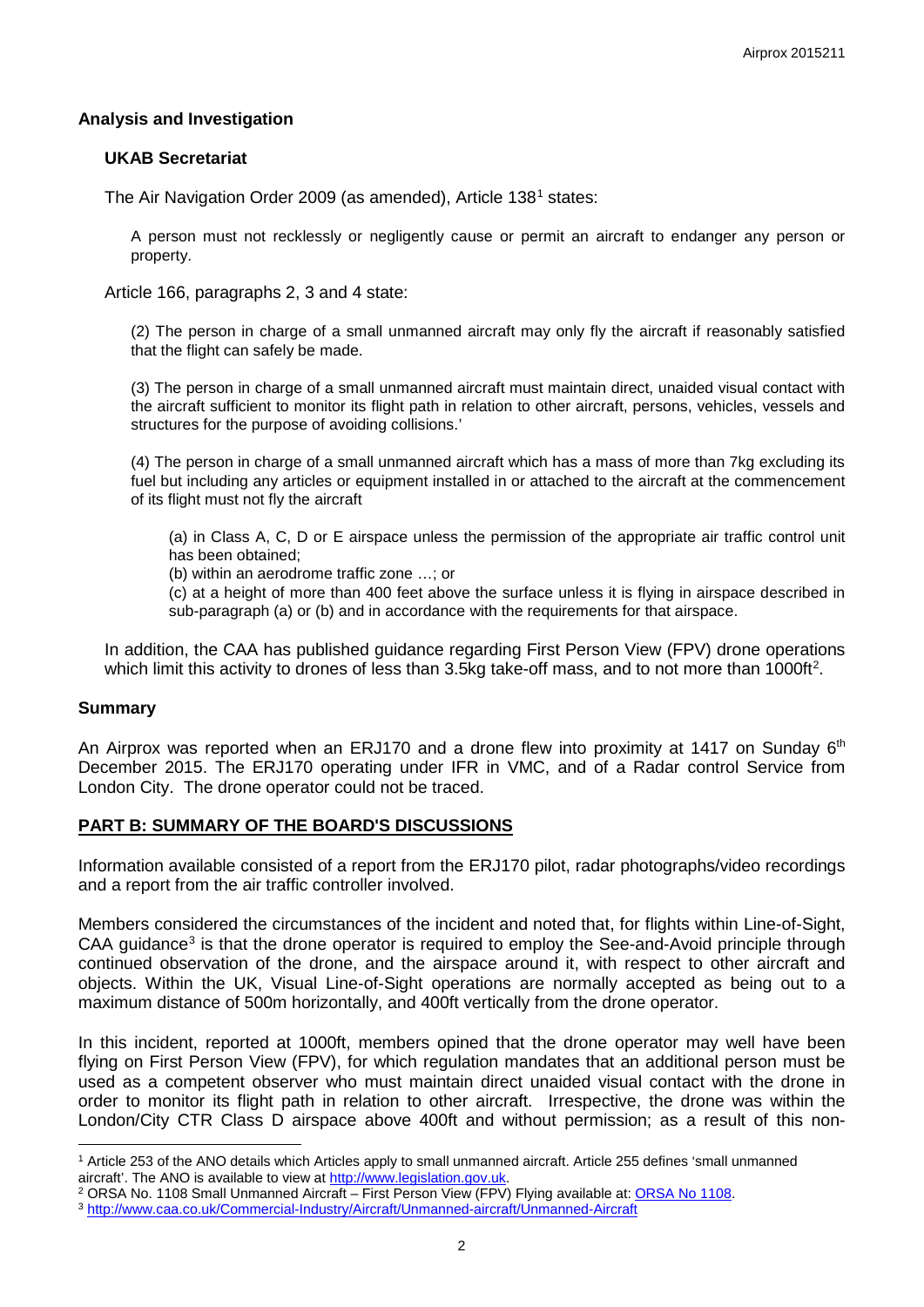### **Analysis and Investigation**

#### **UKAB Secretariat**

The Air Navigation Order 2009 (as amended), Article [1](#page-1-0)38<sup>1</sup> states:

A person must not recklessly or negligently cause or permit an aircraft to endanger any person or property.

Article 166, paragraphs 2, 3 and 4 state:

(2) The person in charge of a small unmanned aircraft may only fly the aircraft if reasonably satisfied that the flight can safely be made.

(3) The person in charge of a small unmanned aircraft must maintain direct, unaided visual contact with the aircraft sufficient to monitor its flight path in relation to other aircraft, persons, vehicles, vessels and structures for the purpose of avoiding collisions.'

(4) The person in charge of a small unmanned aircraft which has a mass of more than 7kg excluding its fuel but including any articles or equipment installed in or attached to the aircraft at the commencement of its flight must not fly the aircraft

(a) in Class A, C, D or E airspace unless the permission of the appropriate air traffic control unit has been obtained;

(b) within an aerodrome traffic zone …; or

(c) at a height of more than 400 feet above the surface unless it is flying in airspace described in sub-paragraph (a) or (b) and in accordance with the requirements for that airspace.

In addition, the CAA has published guidance regarding First Person View (FPV) drone operations which limit this activity to drones of less than 3.5kg take-off mass, and to not more than 1000ft<sup>[2](#page-1-1)</sup>.

#### **Summary**

 $\overline{\phantom{a}}$ 

An Airprox was reported when an ERJ170 and a drone flew into proximity at 1417 on Sunday 6<sup>th</sup> December 2015. The ERJ170 operating under IFR in VMC, and of a Radar control Service from London City. The drone operator could not be traced.

## **PART B: SUMMARY OF THE BOARD'S DISCUSSIONS**

Information available consisted of a report from the ERJ170 pilot, radar photographs/video recordings and a report from the air traffic controller involved.

Members considered the circumstances of the incident and noted that, for flights within Line-of-Sight,  $CAA$  guidance<sup>[3](#page-1-2)</sup> is that the drone operator is required to employ the See-and-Avoid principle through continued observation of the drone, and the airspace around it, with respect to other aircraft and objects. Within the UK, Visual Line-of-Sight operations are normally accepted as being out to a maximum distance of 500m horizontally, and 400ft vertically from the drone operator.

In this incident, reported at 1000ft, members opined that the drone operator may well have been flying on First Person View (FPV), for which regulation mandates that an additional person must be used as a competent observer who must maintain direct unaided visual contact with the drone in order to monitor its flight path in relation to other aircraft. Irrespective, the drone was within the London/City CTR Class D airspace above 400ft and without permission; as a result of this non-

<span id="page-1-0"></span><sup>&</sup>lt;sup>1</sup> Article 253 of the ANO details which Articles apply to small unmanned aircraft. Article 255 defines 'small unmanned aircraft'. The ANO is available to view at http://www.legislation.gov.uk.

<span id="page-1-1"></span><sup>&</sup>lt;sup>2</sup> ORSA No. 1108 Small Unmanned Aircraft – First Person View (FPV) Flying available at: ORSA No 1108.<br><sup>3</sup> http://www.caa.co.uk/Commercial-Industry/Aircraft/Unmanned-aircraft/Unmanned-Aircraft

<span id="page-1-2"></span>